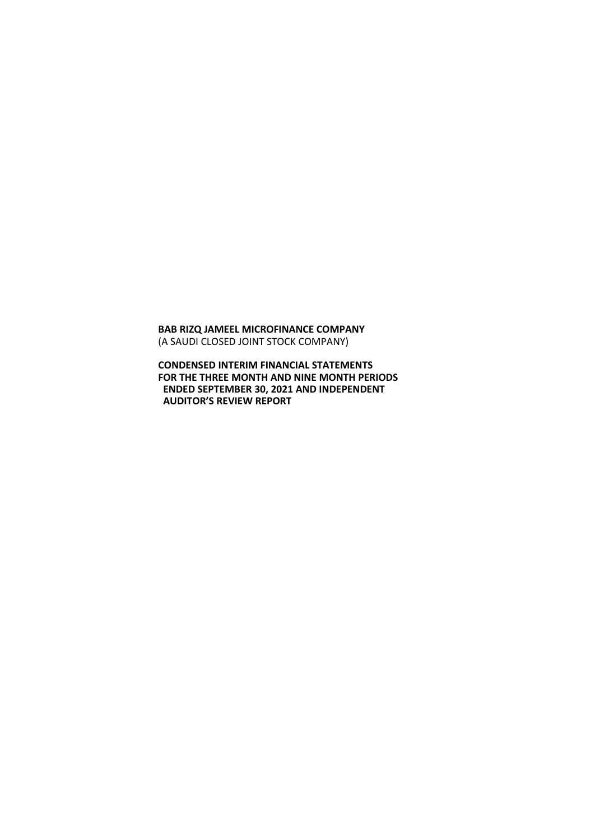**BAB RIZQ JAMEEL MICROFINANCE COMPANY** (A SAUDI CLOSED JOINT STOCK COMPANY)

**CONDENSED INTERIM FINANCIAL STATEMENTS FOR THE THREE MONTH AND NINE MONTH PERIODS ENDED SEPTEMBER 30, 2021 AND INDEPENDENT AUDITOR'S REVIEW REPORT**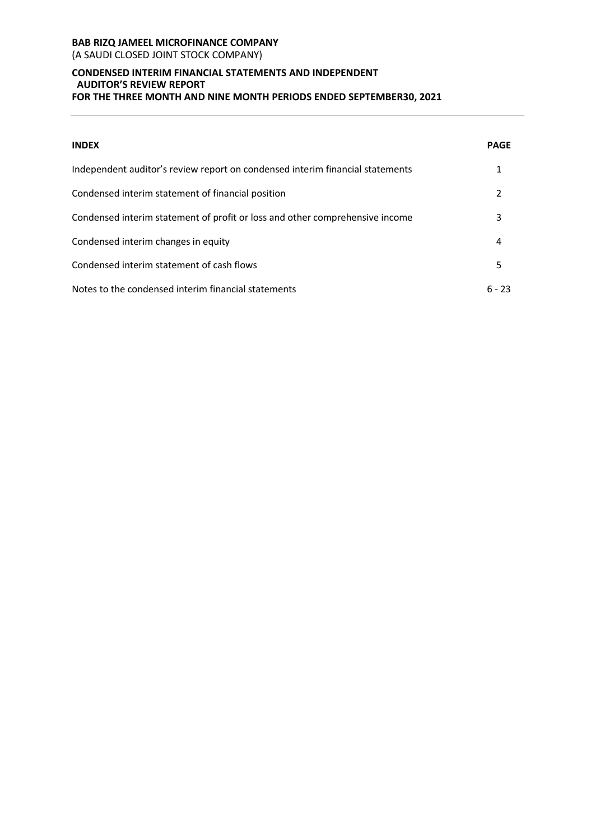# **BAB RIZQ JAMEEL MICROFINANCE COMPANY** (A SAUDI CLOSED JOINT STOCK COMPANY)

# **CONDENSED INTERIM FINANCIAL STATEMENTS AND INDEPENDENT AUDITOR'S REVIEW REPORT FOR THE THREE MONTH AND NINE MONTH PERIODS ENDED SEPTEMBER30, 2021**

| <b>INDEX</b>                                                                  | PAGE     |
|-------------------------------------------------------------------------------|----------|
| Independent auditor's review report on condensed interim financial statements | 1        |
| Condensed interim statement of financial position                             | 2        |
| Condensed interim statement of profit or loss and other comprehensive income  | 3        |
| Condensed interim changes in equity                                           | 4        |
| Condensed interim statement of cash flows                                     | 5        |
| Notes to the condensed interim financial statements                           | $6 - 23$ |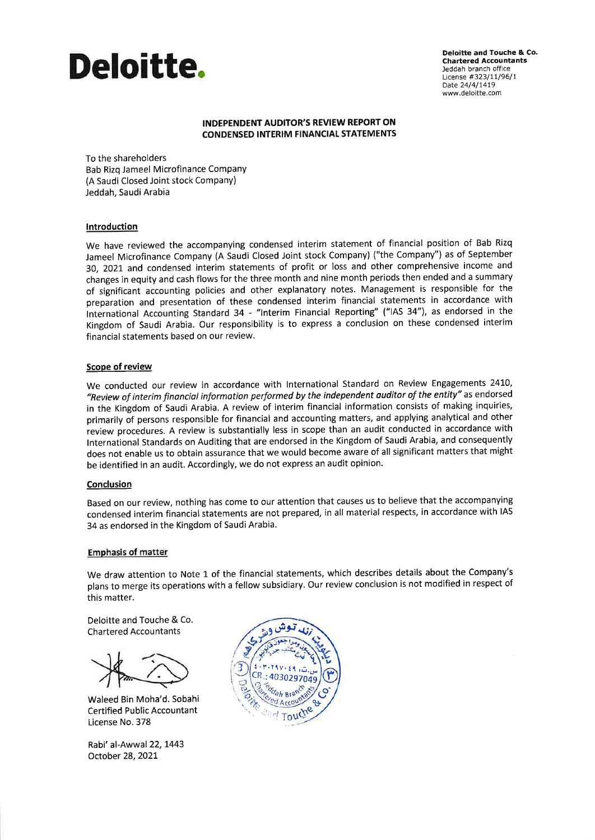

**Deloitte and Touche & Co. Chartered Accountants** Jeddah branch office License #323/11/96/1 Date 24/4/1419 www.deloitte.com

#### **INDEPENDENT AUDITOR'S REVIEW REPORT ON CONDENSED INTERIM FINANCIAL STATEMENTS**

To the shareholders Bab Rizg Jameel Microfinance Company (A Saudi Closed Joint stock Company) Jeddah, Saudi Arabia

#### Introduction

We have reviewed the accompanying condensed interim statement of financial position of Bab Rizq Jameel Microfinance Company (A Saudi Closed Joint stock Company) ("the Company") as of September 30, 2021 and condensed interim statements of profit or loss and other comprehensive income and changes in equity and cash flows for the three month and nine month periods then ended and a summary of significant accounting policies and other explanatory notes. Management is responsible for the preparation and presentation of these condensed interim financial statements in accordance with International Accounting Standard 34 - "Interim Financial Reporting" ("IAS 34"), as endorsed in the Kingdom of Saudi Arabia. Our responsibility is to express a conclusion on these condensed interim financial statements based on our review.

#### Scope of review

We conducted our review in accordance with International Standard on Review Engagements 2410, "Review of interim financial information performed by the independent auditor of the entity" as endorsed in the Kingdom of Saudi Arabia. A review of interim financial information consists of making inquiries, primarily of persons responsible for financial and accounting matters, and applying analytical and other review procedures. A review is substantially less in scope than an audit conducted in accordance with International Standards on Auditing that are endorsed in the Kingdom of Saudi Arabia, and consequently does not enable us to obtain assurance that we would become aware of all significant matters that might be identified in an audit. Accordingly, we do not express an audit opinion.

#### Conclusion

Based on our review, nothing has come to our attention that causes us to believe that the accompanying condensed interim financial statements are not prepared, in all material respects, in accordance with IAS 34 as endorsed in the Kingdom of Saudi Arabia.

#### **Emphasis of matter**

We draw attention to Note 1 of the financial statements, which describes details about the Company's plans to merge its operations with a fellow subsidiary. Our review conclusion is not modified in respect of this matter.

Deloitte and Touche & Co. **Chartered Accountants** 

Waleed Bin Moha'd. Sobahi **Certified Public Accountant** License No. 378

Rabi' al-Awwal 22, 1443 October 28, 2021

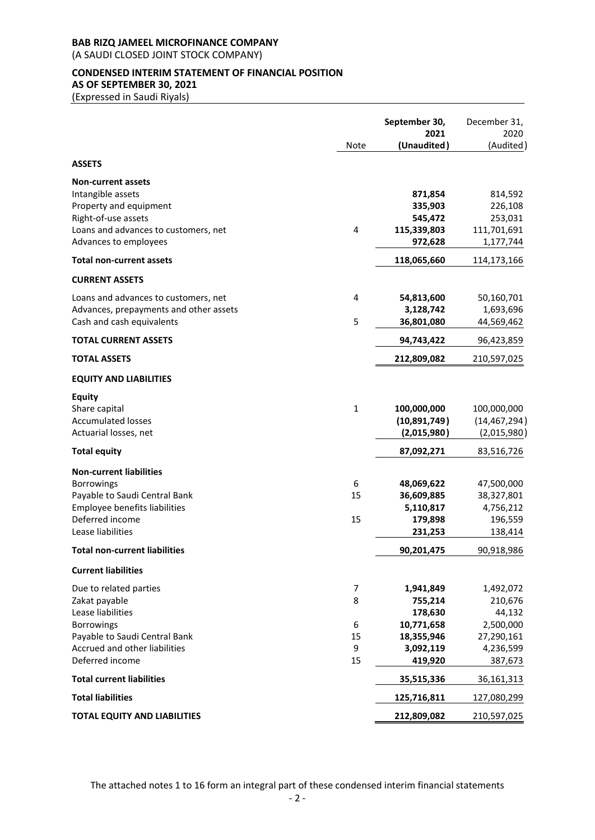(A SAUDI CLOSED JOINT STOCK COMPANY)

# **CONDENSED INTERIM STATEMENT OF FINANCIAL POSITION AS OF SEPTEMBER 30, 2021**

(Expressed in Saudi Riyals)

|                                                                                                                                                                  |                              | September 30,<br>2021                                                               | December 31,<br>2020                                                              |
|------------------------------------------------------------------------------------------------------------------------------------------------------------------|------------------------------|-------------------------------------------------------------------------------------|-----------------------------------------------------------------------------------|
|                                                                                                                                                                  | Note                         | (Unaudited)                                                                         | (Audited)                                                                         |
| <b>ASSETS</b>                                                                                                                                                    |                              |                                                                                     |                                                                                   |
| <b>Non-current assets</b><br>Intangible assets<br>Property and equipment<br>Right-of-use assets<br>Loans and advances to customers, net<br>Advances to employees | 4                            | 871,854<br>335,903<br>545,472<br>115,339,803<br>972,628                             | 814,592<br>226,108<br>253,031<br>111,701,691<br>1,177,744                         |
| <b>Total non-current assets</b>                                                                                                                                  |                              | 118,065,660                                                                         | 114,173,166                                                                       |
| <b>CURRENT ASSETS</b>                                                                                                                                            |                              |                                                                                     |                                                                                   |
| Loans and advances to customers, net<br>Advances, prepayments and other assets<br>Cash and cash equivalents                                                      | 4<br>5                       | 54,813,600<br>3,128,742<br>36,801,080                                               | 50,160,701<br>1,693,696<br>44,569,462                                             |
| <b>TOTAL CURRENT ASSETS</b>                                                                                                                                      |                              | 94,743,422                                                                          | 96,423,859                                                                        |
| <b>TOTAL ASSETS</b>                                                                                                                                              |                              | 212,809,082                                                                         | 210,597,025                                                                       |
| <b>EQUITY AND LIABILITIES</b>                                                                                                                                    |                              |                                                                                     |                                                                                   |
| <b>Equity</b><br>Share capital<br><b>Accumulated losses</b><br>Actuarial losses, net                                                                             | $\mathbf{1}$                 | 100,000,000<br>(10,891,749)<br>(2,015,980)                                          | 100,000,000<br>(14, 467, 294)<br>(2,015,980)                                      |
| <b>Total equity</b>                                                                                                                                              |                              | 87,092,271                                                                          | 83,516,726                                                                        |
| <b>Non-current liabilities</b><br>Borrowings<br>Payable to Saudi Central Bank<br>Employee benefits liabilities<br>Deferred income<br>Lease liabilities           | 6<br>15<br>15                | 48,069,622<br>36,609,885<br>5,110,817<br>179,898<br>231,253                         | 47,500,000<br>38,327,801<br>4,756,212<br>196,559<br>138,414                       |
| <b>Total non-current liabilities</b>                                                                                                                             |                              | 90,201,475                                                                          | 90,918,986                                                                        |
| <b>Current liabilities</b>                                                                                                                                       |                              |                                                                                     |                                                                                   |
| Due to related parties<br>Zakat payable<br>Lease liabilities<br>Borrowings<br>Payable to Saudi Central Bank<br>Accrued and other liabilities<br>Deferred income  | 7<br>8<br>6<br>15<br>9<br>15 | 1,941,849<br>755,214<br>178,630<br>10,771,658<br>18,355,946<br>3,092,119<br>419,920 | 1,492,072<br>210,676<br>44,132<br>2,500,000<br>27,290,161<br>4,236,599<br>387,673 |
| <b>Total current liabilities</b>                                                                                                                                 |                              | 35,515,336                                                                          | 36,161,313                                                                        |
| <b>Total liabilities</b>                                                                                                                                         |                              | 125,716,811                                                                         | 127,080,299                                                                       |
| <b>TOTAL EQUITY AND LIABILITIES</b>                                                                                                                              |                              | 212,809,082                                                                         | 210,597,025                                                                       |

The attached notes 1 to 16 form an integral part of these condensed interim financial statements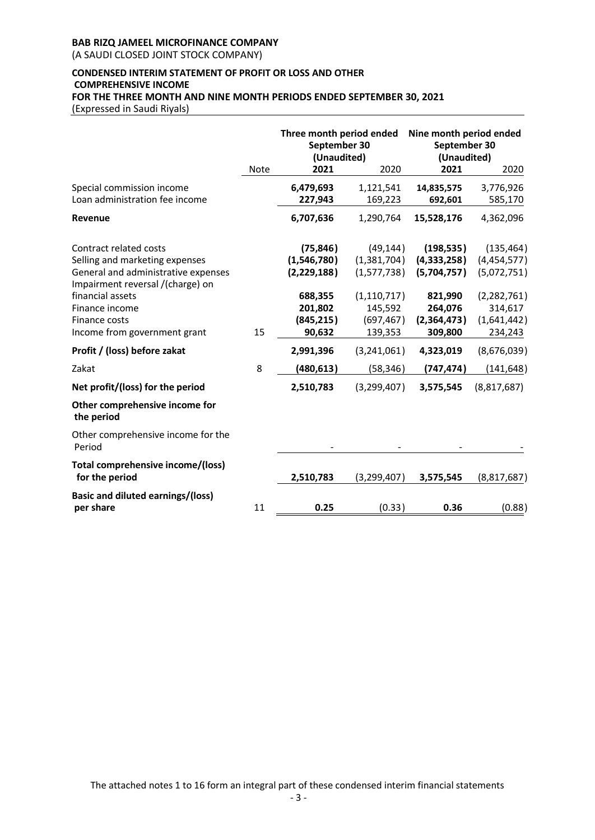(A SAUDI CLOSED JOINT STOCK COMPANY)

# **CONDENSED INTERIM STATEMENT OF PROFIT OR LOSS AND OTHER COMPREHENSIVE INCOME FOR THE THREE MONTH AND NINE MONTH PERIODS ENDED SEPTEMBER 30, 2021**

(Expressed in Saudi Riyals)

|                                                                                                                                     |             | Three month period ended<br>September 30<br>(Unaudited) |                                                   | Nine month period ended<br>September 30<br>(Unaudited) |                                                    |
|-------------------------------------------------------------------------------------------------------------------------------------|-------------|---------------------------------------------------------|---------------------------------------------------|--------------------------------------------------------|----------------------------------------------------|
|                                                                                                                                     | <b>Note</b> | 2021                                                    | 2020                                              | 2021                                                   | 2020                                               |
| Special commission income<br>Loan administration fee income                                                                         |             | 6,479,693<br>227,943                                    | 1,121,541<br>169,223                              | 14,835,575<br>692,601                                  | 3,776,926<br>585,170                               |
| Revenue                                                                                                                             |             | 6,707,636                                               | 1,290,764                                         | 15,528,176                                             | 4,362,096                                          |
| Contract related costs<br>Selling and marketing expenses<br>General and administrative expenses<br>Impairment reversal /(charge) on |             | (75, 846)<br>(1,546,780)<br>(2,229,188)                 | (49, 144)<br>(1,381,704)<br>(1,577,738)           | (198, 535)<br>(4,333,258)<br>(5,704,757)               | (135, 464)<br>(4,454,577)<br>(5,072,751)           |
| financial assets<br>Finance income<br>Finance costs<br>Income from government grant                                                 | 15          | 688,355<br>201,802<br>(845, 215)<br>90,632              | (1, 110, 717)<br>145,592<br>(697, 467)<br>139,353 | 821,990<br>264,076<br>(2,364,473)<br>309,800           | (2, 282, 761)<br>314,617<br>(1,641,442)<br>234,243 |
| Profit / (loss) before zakat                                                                                                        |             | 2,991,396                                               | (3,241,061)                                       | 4,323,019                                              | (8,676,039)                                        |
| Zakat                                                                                                                               | 8           | (480, 613)                                              | (58, 346)                                         | (747, 474)                                             | (141, 648)                                         |
| Net profit/(loss) for the period                                                                                                    |             | 2,510,783                                               | (3,299,407)                                       | 3,575,545                                              | (8,817,687)                                        |
| Other comprehensive income for<br>the period                                                                                        |             |                                                         |                                                   |                                                        |                                                    |
| Other comprehensive income for the<br>Period                                                                                        |             |                                                         |                                                   |                                                        |                                                    |
| Total comprehensive income/(loss)<br>for the period                                                                                 |             | 2,510,783                                               | (3,299,407)                                       | 3,575,545                                              | (8,817,687)                                        |
| <b>Basic and diluted earnings/(loss)</b><br>per share                                                                               | 11          | 0.25                                                    | (0.33)                                            | 0.36                                                   | (0.88)                                             |

The attached notes 1 to 16 form an integral part of these condensed interim financial statements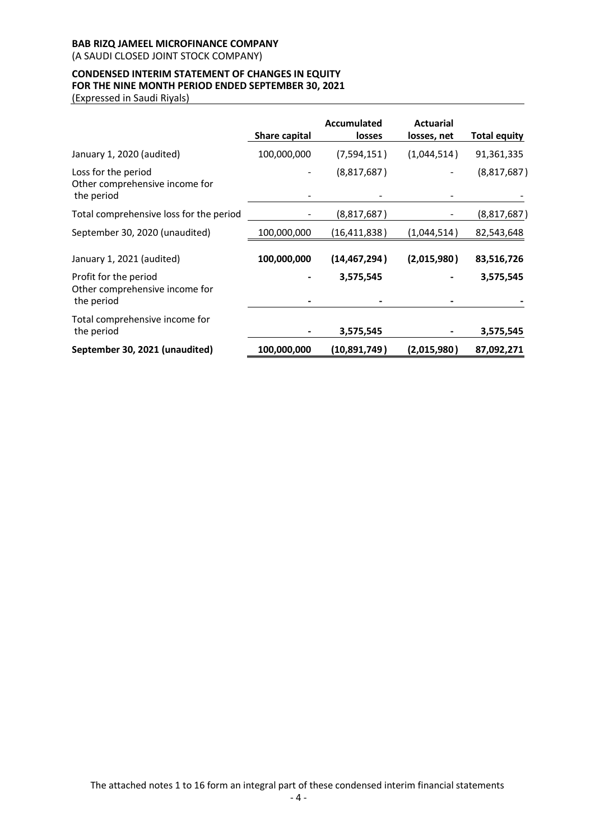(A SAUDI CLOSED JOINT STOCK COMPANY)

# **CONDENSED INTERIM STATEMENT OF CHANGES IN EQUITY FOR THE NINE MONTH PERIOD ENDED SEPTEMBER 30, 2021**

(Expressed in Saudi Riyals)

|                                                                       | Share capital | Accumulated<br>losses | <b>Actuarial</b><br>losses, net | <b>Total equity</b> |
|-----------------------------------------------------------------------|---------------|-----------------------|---------------------------------|---------------------|
| January 1, 2020 (audited)                                             | 100,000,000   | (7,594,151)           | (1,044,514)                     | 91,361,335          |
| Loss for the period<br>Other comprehensive income for<br>the period   |               | (8,817,687)           |                                 | (8,817,687)         |
| Total comprehensive loss for the period                               |               | (8,817,687)           |                                 | (8,817,687)         |
| September 30, 2020 (unaudited)                                        | 100,000,000   | (16, 411, 838)        | (1,044,514)                     | 82,543,648          |
| January 1, 2021 (audited)                                             | 100,000,000   | (14, 467, 294)        | (2,015,980)                     | 83,516,726          |
| Profit for the period<br>Other comprehensive income for<br>the period |               | 3,575,545             |                                 | 3,575,545           |
| Total comprehensive income for<br>the period                          |               | 3,575,545             |                                 | 3,575,545           |
| September 30, 2021 (unaudited)                                        | 100,000,000   | (10, 891, 749)        | (2,015,980)                     | 87,092,271          |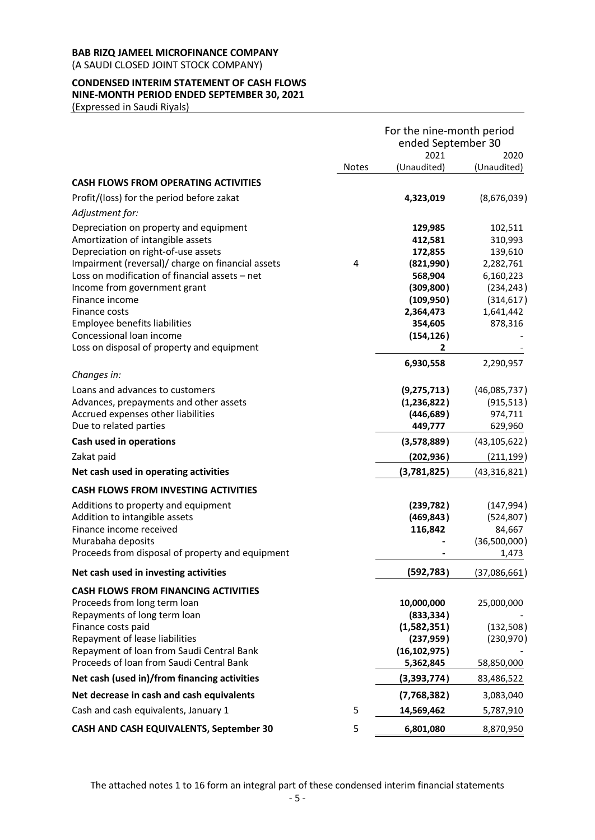(A SAUDI CLOSED JOINT STOCK COMPANY)

# **CONDENSED INTERIM STATEMENT OF CASH FLOWS NINE-MONTH PERIOD ENDED SEPTEMBER 30, 2021**

(Expressed in Saudi Riyals)

|                                                                                          |              | For the nine-month period<br>ended September 30 |                      |
|------------------------------------------------------------------------------------------|--------------|-------------------------------------------------|----------------------|
|                                                                                          |              | 2021                                            | 2020                 |
|                                                                                          | <b>Notes</b> | (Unaudited)                                     | (Unaudited)          |
| <b>CASH FLOWS FROM OPERATING ACTIVITIES</b>                                              |              |                                                 |                      |
| Profit/(loss) for the period before zakat                                                |              | 4,323,019                                       | (8,676,039)          |
| Adjustment for:                                                                          |              |                                                 |                      |
| Depreciation on property and equipment                                                   |              | 129,985                                         | 102,511              |
| Amortization of intangible assets                                                        |              | 412,581                                         | 310,993              |
| Depreciation on right-of-use assets<br>Impairment (reversal)/ charge on financial assets | 4            | 172,855<br>(821,990)                            | 139,610<br>2,282,761 |
| Loss on modification of financial assets - net                                           |              | 568,904                                         | 6,160,223            |
| Income from government grant                                                             |              | (309, 800)                                      | (234, 243)           |
| Finance income                                                                           |              | (109, 950)                                      | (314, 617)           |
| Finance costs                                                                            |              | 2,364,473                                       | 1,641,442            |
| Employee benefits liabilities                                                            |              | 354,605                                         | 878,316              |
| Concessional loan income                                                                 |              | (154, 126)                                      |                      |
| Loss on disposal of property and equipment                                               |              | $\overline{2}$                                  |                      |
| Changes in:                                                                              |              | 6,930,558                                       | 2,290,957            |
| Loans and advances to customers                                                          |              | (9, 275, 713)                                   | (46,085,737)         |
| Advances, prepayments and other assets                                                   |              | (1, 236, 822)                                   | (915, 513)           |
| Accrued expenses other liabilities                                                       |              | (446, 689)                                      | 974,711              |
| Due to related parties                                                                   |              | 449,777                                         | 629,960              |
| Cash used in operations                                                                  |              | (3,578,889)                                     | (43, 105, 622)       |
| Zakat paid                                                                               |              | (202, 936)                                      | (211, 199)           |
| Net cash used in operating activities                                                    |              | (3,781,825)                                     | (43, 316, 821)       |
| <b>CASH FLOWS FROM INVESTING ACTIVITIES</b>                                              |              |                                                 |                      |
| Additions to property and equipment                                                      |              | (239, 782)                                      | (147, 994)           |
| Addition to intangible assets                                                            |              | (469, 843)                                      | (524, 807)           |
| Finance income received                                                                  |              | 116,842                                         | 84,667               |
| Murabaha deposits                                                                        |              |                                                 | (36,500,000)         |
| Proceeds from disposal of property and equipment                                         |              |                                                 | 1,473                |
| Net cash used in investing activities                                                    |              | (592, 783)                                      | (37,086,661)         |
| <b>CASH FLOWS FROM FINANCING ACTIVITIES</b>                                              |              |                                                 |                      |
| Proceeds from long term loan                                                             |              | 10,000,000                                      | 25,000,000           |
| Repayments of long term loan                                                             |              | (833, 334)                                      |                      |
| Finance costs paid                                                                       |              | (1,582,351)                                     | (132, 508)           |
| Repayment of lease liabilities<br>Repayment of loan from Saudi Central Bank              |              | (237, 959)                                      | (230, 970)           |
| Proceeds of Ioan from Saudi Central Bank                                                 |              | (16, 102, 975)<br>5,362,845                     | 58,850,000           |
| Net cash (used in)/from financing activities                                             |              | (3,393,774)                                     | 83,486,522           |
| Net decrease in cash and cash equivalents                                                |              | (7,768,382)                                     | 3,083,040            |
| Cash and cash equivalents, January 1                                                     | 5            | 14,569,462                                      | 5,787,910            |
| CASH AND CASH EQUIVALENTS, September 30                                                  | 5            | 6,801,080                                       | 8,870,950            |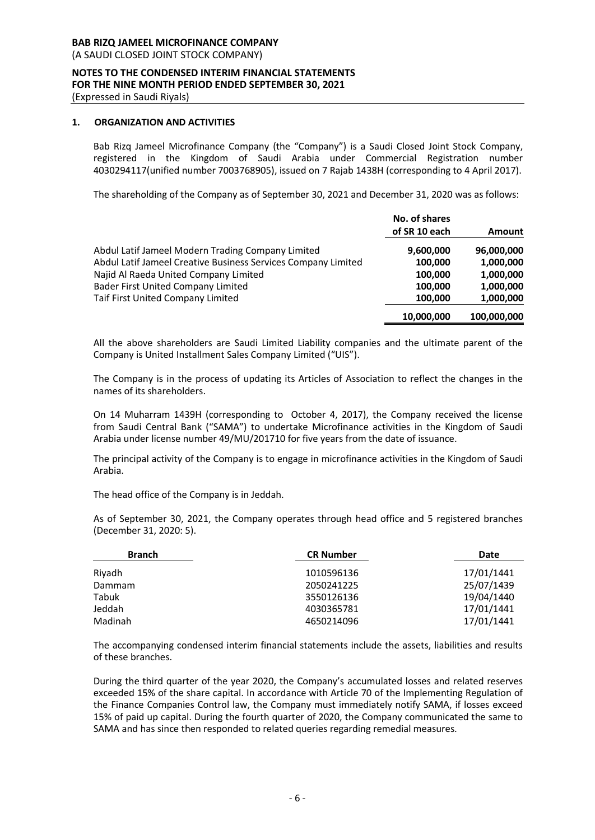(A SAUDI CLOSED JOINT STOCK COMPANY)

#### **NOTES TO THE CONDENSED INTERIM FINANCIAL STATEMENTS FOR THE NINE MONTH PERIOD ENDED SEPTEMBER 30, 2021** (Expressed in Saudi Riyals)

# **1. ORGANIZATION AND ACTIVITIES**

Bab Rizq Jameel Microfinance Company (the "Company") is a Saudi Closed Joint Stock Company, registered in the Kingdom of Saudi Arabia under Commercial Registration number 4030294117(unified number 7003768905), issued on 7 Rajab 1438H (corresponding to 4 April 2017).

The shareholding of the Company as of September 30, 2021 and December 31, 2020 was as follows:

|                                                               | No. of shares<br>of SR 10 each | <b>Amount</b> |
|---------------------------------------------------------------|--------------------------------|---------------|
| Abdul Latif Jameel Modern Trading Company Limited             | 9,600,000                      | 96,000,000    |
| Abdul Latif Jameel Creative Business Services Company Limited | 100,000                        | 1,000,000     |
| Najid Al Raeda United Company Limited                         | 100.000                        | 1,000,000     |
| <b>Bader First United Company Limited</b>                     | 100.000                        | 1,000,000     |
| Taif First United Company Limited                             | 100,000                        | 1,000,000     |
|                                                               | 10,000,000                     | 100,000,000   |

All the above shareholders are Saudi Limited Liability companies and the ultimate parent of the Company is United Installment Sales Company Limited ("UIS").

The Company is in the process of updating its Articles of Association to reflect the changes in the names of its shareholders.

On 14 Muharram 1439H (corresponding to October 4, 2017), the Company received the license from Saudi Central Bank ("SAMA") to undertake Microfinance activities in the Kingdom of Saudi Arabia under license number 49/MU/201710 for five years from the date of issuance.

The principal activity of the Company is to engage in microfinance activities in the Kingdom of Saudi Arabia.

The head office of the Company is in Jeddah.

As of September 30, 2021, the Company operates through head office and 5 registered branches (December 31, 2020: 5).

| <b>Branch</b> | <b>CR Number</b> | Date       |
|---------------|------------------|------------|
| Riyadh        | 1010596136       | 17/01/1441 |
| Dammam        | 2050241225       | 25/07/1439 |
| Tabuk         | 3550126136       | 19/04/1440 |
| Jeddah        | 4030365781       | 17/01/1441 |
| Madinah       | 4650214096       | 17/01/1441 |

The accompanying condensed interim financial statements include the assets, liabilities and results of these branches.

During the third quarter of the year 2020, the Company's accumulated losses and related reserves exceeded 15% of the share capital. In accordance with Article 70 of the Implementing Regulation of the Finance Companies Control law, the Company must immediately notify SAMA, if losses exceed 15% of paid up capital. During the fourth quarter of 2020, the Company communicated the same to SAMA and has since then responded to related queries regarding remedial measures.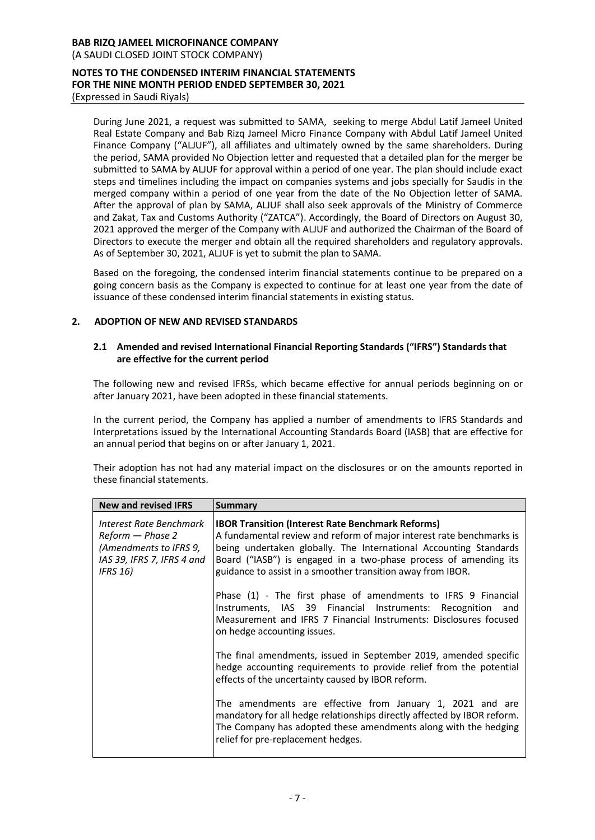(A SAUDI CLOSED JOINT STOCK COMPANY)

#### **NOTES TO THE CONDENSED INTERIM FINANCIAL STATEMENTS FOR THE NINE MONTH PERIOD ENDED SEPTEMBER 30, 2021** (Expressed in Saudi Riyals)

During June 2021, a request was submitted to SAMA, seeking to merge Abdul Latif Jameel United Real Estate Company and Bab Rizq Jameel Micro Finance Company with Abdul Latif Jameel United Finance Company ("ALJUF"), all affiliates and ultimately owned by the same shareholders. During the period, SAMA provided No Objection letter and requested that a detailed plan for the merger be submitted to SAMA by ALJUF for approval within a period of one year. The plan should include exact steps and timelines including the impact on companies systems and jobs specially for Saudis in the merged company within a period of one year from the date of the No Objection letter of SAMA. After the approval of plan by SAMA, ALJUF shall also seek approvals of the Ministry of Commerce and Zakat, Tax and Customs Authority ("ZATCA"). Accordingly, the Board of Directors on August 30, 2021 approved the merger of the Company with ALJUF and authorized the Chairman of the Board of Directors to execute the merger and obtain all the required shareholders and regulatory approvals. As of September 30, 2021, ALJUF is yet to submit the plan to SAMA.

Based on the foregoing, the condensed interim financial statements continue to be prepared on a going concern basis as the Company is expected to continue for at least one year from the date of issuance of these condensed interim financial statements in existing status.

# **2. ADOPTION OF NEW AND REVISED STANDARDS**

# **2.1 Amended and revised International Financial Reporting Standards ("IFRS") Standards that are effective for the current period**

The following new and revised IFRSs, which became effective for annual periods beginning on or after January 2021, have been adopted in these financial statements.

In the current period, the Company has applied a number of amendments to IFRS Standards and Interpretations issued by the International Accounting Standards Board (IASB) that are effective for an annual period that begins on or after January 1, 2021.

Their adoption has not had any material impact on the disclosures or on the amounts reported in these financial statements.

| <b>New and revised IFRS</b>                                                                                            | <b>Summary</b>                                                                                                                                                                                                                                                                                                                           |
|------------------------------------------------------------------------------------------------------------------------|------------------------------------------------------------------------------------------------------------------------------------------------------------------------------------------------------------------------------------------------------------------------------------------------------------------------------------------|
| Interest Rate Benchmark<br>Reform - Phase 2<br>(Amendments to IFRS 9,<br>IAS 39, IFRS 7, IFRS 4 and<br><b>IFRS 16)</b> | <b>IBOR Transition (Interest Rate Benchmark Reforms)</b><br>A fundamental review and reform of major interest rate benchmarks is<br>being undertaken globally. The International Accounting Standards<br>Board ("IASB") is engaged in a two-phase process of amending its<br>guidance to assist in a smoother transition away from IBOR. |
|                                                                                                                        | Phase (1) - The first phase of amendments to IFRS 9 Financial<br>Instruments, IAS 39 Financial Instruments: Recognition and<br>Measurement and IFRS 7 Financial Instruments: Disclosures focused<br>on hedge accounting issues.                                                                                                          |
|                                                                                                                        | The final amendments, issued in September 2019, amended specific<br>hedge accounting requirements to provide relief from the potential<br>effects of the uncertainty caused by IBOR reform.                                                                                                                                              |
|                                                                                                                        | The amendments are effective from January 1, 2021 and are<br>mandatory for all hedge relationships directly affected by IBOR reform.<br>The Company has adopted these amendments along with the hedging<br>relief for pre-replacement hedges.                                                                                            |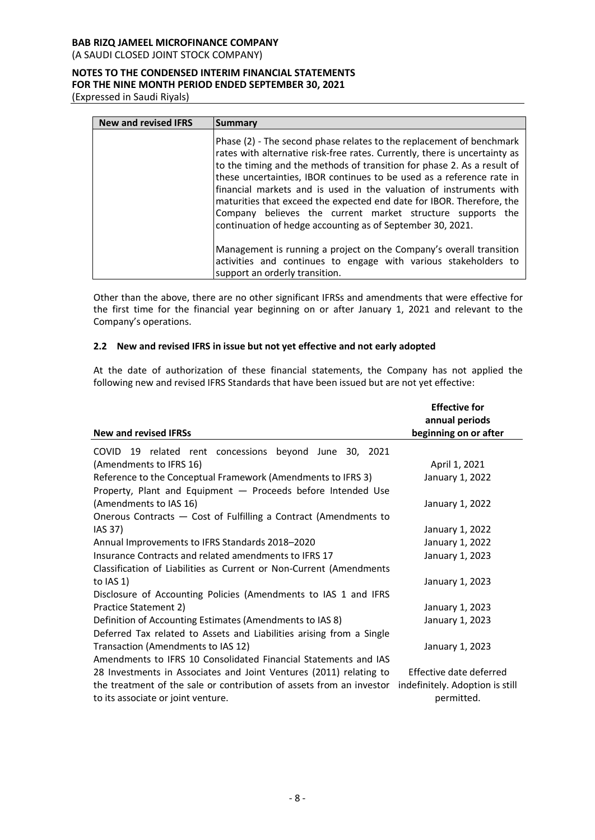(A SAUDI CLOSED JOINT STOCK COMPANY)

# **NOTES TO THE CONDENSED INTERIM FINANCIAL STATEMENTS FOR THE NINE MONTH PERIOD ENDED SEPTEMBER 30, 2021**

(Expressed in Saudi Riyals)

| <b>New and revised IFRS</b> | Summary                                                                                                                                                                                                                                                                                                                                                                                                                                                                                                                                                                           |
|-----------------------------|-----------------------------------------------------------------------------------------------------------------------------------------------------------------------------------------------------------------------------------------------------------------------------------------------------------------------------------------------------------------------------------------------------------------------------------------------------------------------------------------------------------------------------------------------------------------------------------|
|                             | Phase (2) - The second phase relates to the replacement of benchmark<br>rates with alternative risk-free rates. Currently, there is uncertainty as<br>to the timing and the methods of transition for phase 2. As a result of<br>these uncertainties, IBOR continues to be used as a reference rate in<br>financial markets and is used in the valuation of instruments with<br>maturities that exceed the expected end date for IBOR. Therefore, the<br>Company believes the current market structure supports the<br>continuation of hedge accounting as of September 30, 2021. |
|                             | Management is running a project on the Company's overall transition<br>activities and continues to engage with various stakeholders to<br>support an orderly transition.                                                                                                                                                                                                                                                                                                                                                                                                          |

Other than the above, there are no other significant IFRSs and amendments that were effective for the first time for the financial year beginning on or after January 1, 2021 and relevant to the Company's operations.

# **2.2 New and revised IFRS in issue but not yet effective and not early adopted**

At the date of authorization of these financial statements, the Company has not applied the following new and revised IFRS Standards that have been issued but are not yet effective:

|                                                                                                            | <b>Effective for</b><br>annual periods        |
|------------------------------------------------------------------------------------------------------------|-----------------------------------------------|
| <b>New and revised IFRSs</b>                                                                               | beginning on or after                         |
| <b>COVID</b><br>19 related rent concessions<br>beyond June 30, 2021                                        |                                               |
| (Amendments to IFRS 16)                                                                                    | April 1, 2021                                 |
| Reference to the Conceptual Framework (Amendments to IFRS 3)                                               | January 1, 2022                               |
| Property, Plant and Equipment - Proceeds before Intended Use                                               |                                               |
| (Amendments to IAS 16)                                                                                     | January 1, 2022                               |
| Onerous Contracts - Cost of Fulfilling a Contract (Amendments to                                           |                                               |
| IAS 37)                                                                                                    | January 1, 2022                               |
| Annual Improvements to IFRS Standards 2018-2020                                                            | January 1, 2022                               |
| Insurance Contracts and related amendments to IFRS 17                                                      | January 1, 2023                               |
| Classification of Liabilities as Current or Non-Current (Amendments                                        |                                               |
| to $(AS 1)$                                                                                                | January 1, 2023                               |
| Disclosure of Accounting Policies (Amendments to IAS 1 and IFRS                                            |                                               |
| Practice Statement 2)                                                                                      | January 1, 2023                               |
| Definition of Accounting Estimates (Amendments to IAS 8)                                                   | January 1, 2023                               |
| Deferred Tax related to Assets and Liabilities arising from a Single                                       |                                               |
| Transaction (Amendments to IAS 12)                                                                         | January 1, 2023                               |
| Amendments to IFRS 10 Consolidated Financial Statements and IAS                                            |                                               |
| 28 Investments in Associates and Joint Ventures (2011) relating to                                         | Effective date deferred                       |
| the treatment of the sale or contribution of assets from an investor<br>to its associate or joint venture. | indefinitely. Adoption is still<br>permitted. |
|                                                                                                            |                                               |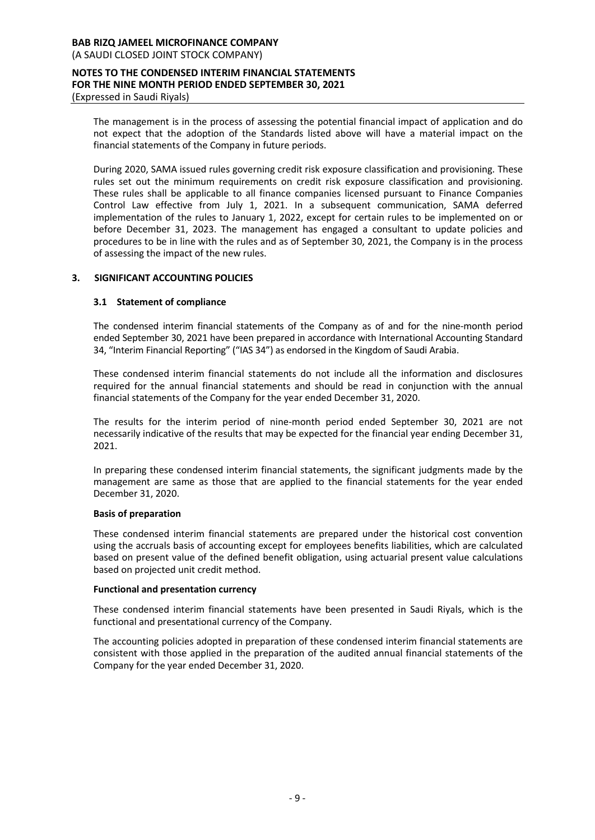The management is in the process of assessing the potential financial impact of application and do not expect that the adoption of the Standards listed above will have a material impact on the financial statements of the Company in future periods.

During 2020, SAMA issued rules governing credit risk exposure classification and provisioning. These rules set out the minimum requirements on credit risk exposure classification and provisioning. These rules shall be applicable to all finance companies licensed pursuant to Finance Companies Control Law effective from July 1, 2021. In a subsequent communication, SAMA deferred implementation of the rules to January 1, 2022, except for certain rules to be implemented on or before December 31, 2023. The management has engaged a consultant to update policies and procedures to be in line with the rules and as of September 30, 2021, the Company is in the process of assessing the impact of the new rules.

# **3. SIGNIFICANT ACCOUNTING POLICIES**

# **3.1 Statement of compliance**

The condensed interim financial statements of the Company as of and for the nine-month period ended September 30, 2021 have been prepared in accordance with International Accounting Standard 34, "Interim Financial Reporting" ("IAS 34") as endorsed in the Kingdom of Saudi Arabia.

These condensed interim financial statements do not include all the information and disclosures required for the annual financial statements and should be read in conjunction with the annual financial statements of the Company for the year ended December 31, 2020.

The results for the interim period of nine-month period ended September 30, 2021 are not necessarily indicative of the results that may be expected for the financial year ending December 31, 2021.

In preparing these condensed interim financial statements, the significant judgments made by the management are same as those that are applied to the financial statements for the year ended December 31, 2020.

#### **Basis of preparation**

These condensed interim financial statements are prepared under the historical cost convention using the accruals basis of accounting except for employees benefits liabilities, which are calculated based on present value of the defined benefit obligation, using actuarial present value calculations based on projected unit credit method.

#### **Functional and presentation currency**

These condensed interim financial statements have been presented in Saudi Riyals, which is the functional and presentational currency of the Company.

The accounting policies adopted in preparation of these condensed interim financial statements are consistent with those applied in the preparation of the audited annual financial statements of the Company for the year ended December 31, 2020.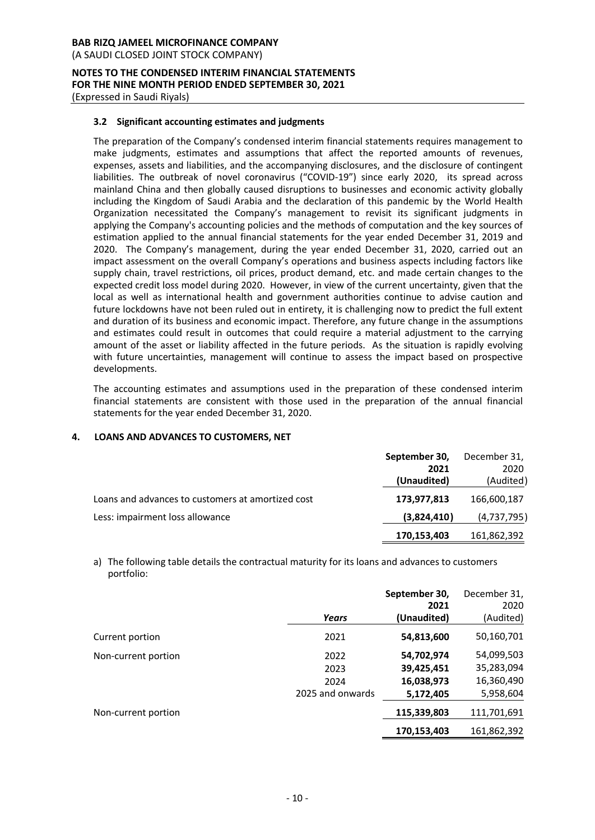(A SAUDI CLOSED JOINT STOCK COMPANY)

# **NOTES TO THE CONDENSED INTERIM FINANCIAL STATEMENTS FOR THE NINE MONTH PERIOD ENDED SEPTEMBER 30, 2021**

(Expressed in Saudi Riyals)

# **3.2 Significant accounting estimates and judgments**

The preparation of the Company's condensed interim financial statements requires management to make judgments, estimates and assumptions that affect the reported amounts of revenues, expenses, assets and liabilities, and the accompanying disclosures, and the disclosure of contingent liabilities. The outbreak of novel coronavirus ("COVID-19") since early 2020, its spread across mainland China and then globally caused disruptions to businesses and economic activity globally including the Kingdom of Saudi Arabia and the declaration of this pandemic by the World Health Organization necessitated the Company's management to revisit its significant judgments in applying the Company's accounting policies and the methods of computation and the key sources of estimation applied to the annual financial statements for the year ended December 31, 2019 and 2020. The Company's management, during the year ended December 31, 2020, carried out an impact assessment on the overall Company's operations and business aspects including factors like supply chain, travel restrictions, oil prices, product demand, etc. and made certain changes to the expected credit loss model during 2020. However, in view of the current uncertainty, given that the local as well as international health and government authorities continue to advise caution and future lockdowns have not been ruled out in entirety, it is challenging now to predict the full extent and duration of its business and economic impact. Therefore, any future change in the assumptions and estimates could result in outcomes that could require a material adjustment to the carrying amount of the asset or liability affected in the future periods. As the situation is rapidly evolving with future uncertainties, management will continue to assess the impact based on prospective developments.

The accounting estimates and assumptions used in the preparation of these condensed interim financial statements are consistent with those used in the preparation of the annual financial statements for the year ended December 31, 2020.

# **4. LOANS AND ADVANCES TO CUSTOMERS, NET**

|                                                   | September 30,<br>2021<br>(Unaudited) | December 31,<br>2020<br>(Audited) |
|---------------------------------------------------|--------------------------------------|-----------------------------------|
| Loans and advances to customers at amortized cost | 173,977,813                          | 166,600,187                       |
| Less: impairment loss allowance                   | (3,824,410)                          | (4,737,795)                       |
|                                                   | 170,153,403                          | 161,862,392                       |

a) The following table details the contractual maturity for its loans and advances to customers portfolio:

|                     | Years                                    | September 30,<br>2021<br>(Unaudited)                | December 31,<br>2020<br>(Audited)                   |
|---------------------|------------------------------------------|-----------------------------------------------------|-----------------------------------------------------|
| Current portion     | 2021                                     | 54,813,600                                          | 50,160,701                                          |
| Non-current portion | 2022<br>2023<br>2024<br>2025 and onwards | 54,702,974<br>39,425,451<br>16,038,973<br>5,172,405 | 54,099,503<br>35,283,094<br>16,360,490<br>5,958,604 |
| Non-current portion |                                          | 115,339,803                                         | 111,701,691                                         |
|                     |                                          | 170,153,403                                         | 161,862,392                                         |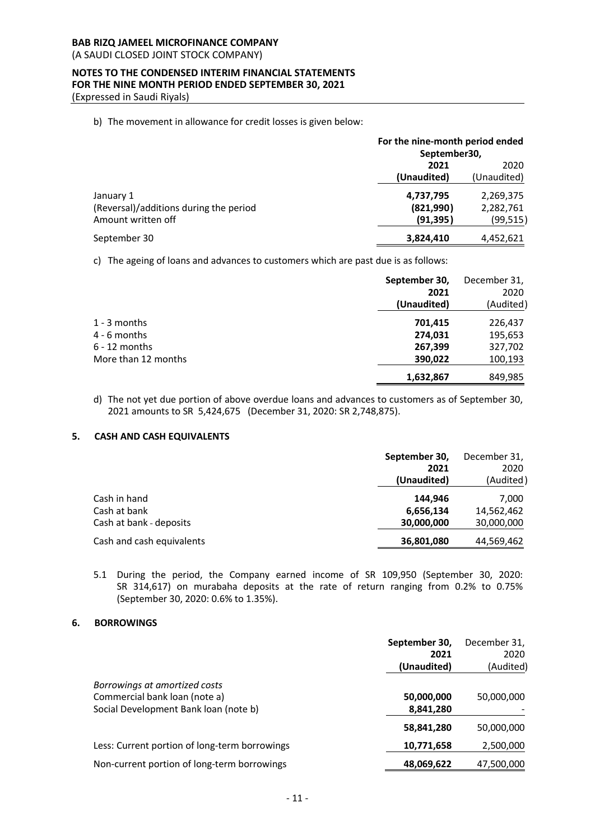(A SAUDI CLOSED JOINT STOCK COMPANY)

# **NOTES TO THE CONDENSED INTERIM FINANCIAL STATEMENTS FOR THE NINE MONTH PERIOD ENDED SEPTEMBER 30, 2021**

(Expressed in Saudi Riyals)

#### b) The movement in allowance for credit losses is given below:

|                                        | For the nine-month period ended<br>September30, |             |
|----------------------------------------|-------------------------------------------------|-------------|
|                                        | 2021                                            |             |
|                                        | (Unaudited)                                     | (Unaudited) |
| January 1                              | 4,737,795                                       | 2,269,375   |
| (Reversal)/additions during the period | (821,990)                                       | 2,282,761   |
| Amount written off                     | (91, 395)                                       | (99, 515)   |
| September 30                           | 3,824,410                                       | 4,452,621   |

c) The ageing of loans and advances to customers which are past due is as follows:

|                     | September 30,<br>2021<br>(Unaudited) | December 31,<br>2020<br>(Audited) |
|---------------------|--------------------------------------|-----------------------------------|
|                     |                                      |                                   |
| 1 - 3 months        | 701,415                              | 226,437                           |
| 4 - 6 months        | 274,031                              | 195,653                           |
| 6 - 12 months       | 267,399                              | 327,702                           |
| More than 12 months | 390,022                              | 100,193                           |
|                     | 1,632,867                            | 849,985                           |
|                     |                                      |                                   |

d) The not yet due portion of above overdue loans and advances to customers as of September 30, 2021 amounts to SR 5,424,675 (December 31, 2020: SR 2,748,875).

# **5. CASH AND CASH EQUIVALENTS**

|                           | September 30, | December 31, |
|---------------------------|---------------|--------------|
|                           | 2021          | 2020         |
|                           | (Unaudited)   | (Audited)    |
| Cash in hand              | 144.946       | 7,000        |
| Cash at bank              | 6,656,134     | 14,562,462   |
| Cash at bank - deposits   | 30,000,000    | 30,000,000   |
| Cash and cash equivalents | 36,801,080    | 44,569,462   |

5.1 During the period, the Company earned income of SR 109,950 (September 30, 2020: SR 314,617) on murabaha deposits at the rate of return ranging from 0.2% to 0.75% (September 30, 2020: 0.6% to 1.35%).

#### **6. BORROWINGS**

|                                               | September 30, | December 31, |
|-----------------------------------------------|---------------|--------------|
|                                               | 2021          | 2020         |
|                                               | (Unaudited)   | (Audited)    |
| Borrowings at amortized costs                 |               |              |
| Commercial bank loan (note a)                 | 50,000,000    | 50,000,000   |
| Social Development Bank loan (note b)         | 8,841,280     |              |
|                                               | 58,841,280    | 50,000,000   |
| Less: Current portion of long-term borrowings | 10,771,658    | 2,500,000    |
| Non-current portion of long-term borrowings   | 48,069,622    | 47,500,000   |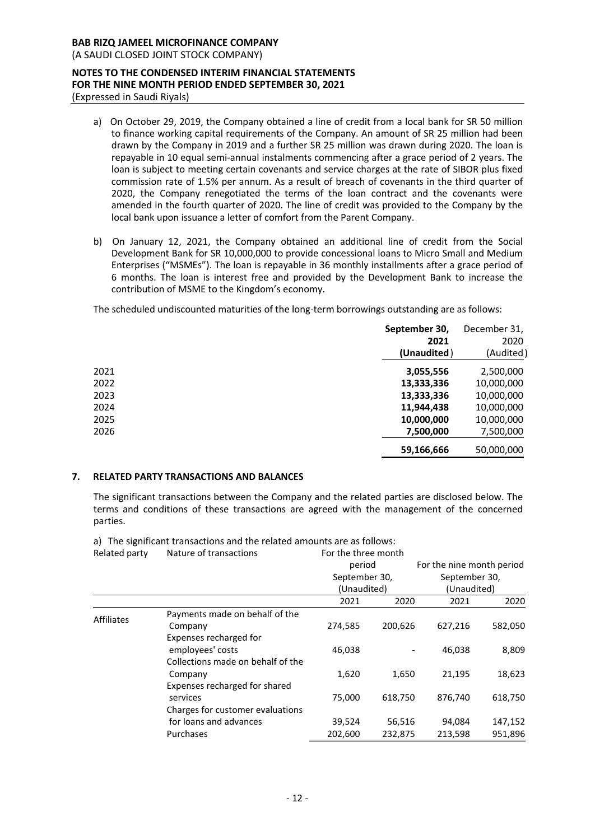(A SAUDI CLOSED JOINT STOCK COMPANY)

#### **NOTES TO THE CONDENSED INTERIM FINANCIAL STATEMENTS FOR THE NINE MONTH PERIOD ENDED SEPTEMBER 30, 2021** (Expressed in Saudi Riyals)

- a) On October 29, 2019, the Company obtained a line of credit from a local bank for SR 50 million to finance working capital requirements of the Company. An amount of SR 25 million had been drawn by the Company in 2019 and a further SR 25 million was drawn during 2020. The loan is repayable in 10 equal semi-annual instalments commencing after a grace period of 2 years. The loan is subject to meeting certain covenants and service charges at the rate of SIBOR plus fixed commission rate of 1.5% per annum. As a result of breach of covenants in the third quarter of 2020, the Company renegotiated the terms of the loan contract and the covenants were amended in the fourth quarter of 2020. The line of credit was provided to the Company by the local bank upon issuance a letter of comfort from the Parent Company.
- b) On January 12, 2021, the Company obtained an additional line of credit from the Social Development Bank for SR 10,000,000 to provide concessional loans to Micro Small and Medium Enterprises ("MSMEs"). The loan is repayable in 36 monthly installments after a grace period of 6 months. The loan is interest free and provided by the Development Bank to increase the contribution of MSME to the Kingdom's economy.

The scheduled undiscounted maturities of the long-term borrowings outstanding are as follows:

|      | September 30,<br>2021<br>(Unaudited) | December 31,<br>2020<br>(Audited) |
|------|--------------------------------------|-----------------------------------|
| 2021 | 3,055,556                            | 2,500,000                         |
| 2022 | 13,333,336                           | 10,000,000                        |
| 2023 | 13,333,336                           | 10,000,000                        |
| 2024 | 11,944,438                           | 10,000,000                        |
| 2025 | 10,000,000                           | 10,000,000                        |
| 2026 | 7,500,000                            | 7,500,000                         |
|      | 59,166,666                           | 50,000,000                        |

# **7. RELATED PARTY TRANSACTIONS AND BALANCES**

The significant transactions between the Company and the related parties are disclosed below. The terms and conditions of these transactions are agreed with the management of the concerned parties.

Related party Nature of transactions For the three month period September 30, (Unaudited) For the nine month period September 30, (Unaudited) 2021 2020 2021 2020 Affiliates Payments made on behalf of the<br>Company Company 274,585 200,626 627,216 582,050 Expenses recharged for employees' costs 46,038 - 46,038 8,809 Collections made on behalf of the Company 1,620 1,650 21,195 18,623 Expenses recharged for shared services 75,000 618,750 876,740 618,750 Charges for customer evaluations for loans and advances 39,524 56,516 94,084 147,152 Purchases 202,600 232,875 213,598 951,896

a) The significant transactions and the related amounts are as follows: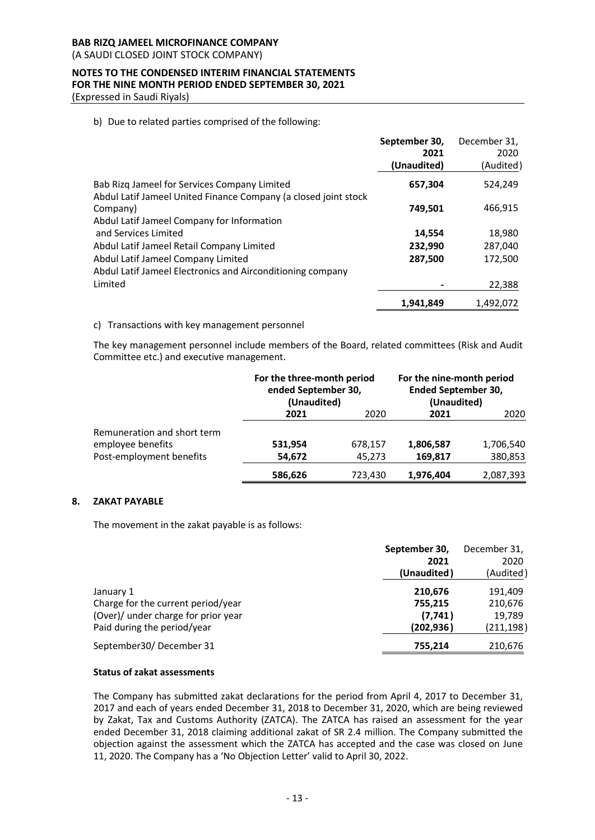(A SAUDI CLOSED JOINT STOCK COMPANY)

# **NOTES TO THE CONDENSED INTERIM FINANCIAL STATEMENTS FOR THE NINE MONTH PERIOD ENDED SEPTEMBER 30, 2021**

(Expressed in Saudi Riyals)

b) Due to related parties comprised of the following:

|                                                                                                                 | September 30,<br>2021 | December 31,<br>2020 |
|-----------------------------------------------------------------------------------------------------------------|-----------------------|----------------------|
|                                                                                                                 | (Unaudited)           | (Audited)            |
| Bab Rizg Jameel for Services Company Limited<br>Abdul Latif Jameel United Finance Company (a closed joint stock | 657,304               | 524,249              |
| Company)<br>Abdul Latif Jameel Company for Information                                                          | 749,501               | 466,915              |
| and Services Limited                                                                                            | 14,554                | 18,980               |
| Abdul Latif Jameel Retail Company Limited                                                                       | 232,990               | 287,040              |
| Abdul Latif Jameel Company Limited<br>Abdul Latif Jameel Electronics and Airconditioning company                | 287,500               | 172,500              |
| Limited                                                                                                         |                       | 22,388               |
|                                                                                                                 | 1,941,849             | 1,492,072            |

# c) Transactions with key management personnel

The key management personnel include members of the Board, related committees (Risk and Audit Committee etc.) and executive management.

|                             | For the three-month period<br>ended September 30,<br>(Unaudited) |         | For the nine-month period<br><b>Ended September 30,</b><br>(Unaudited) |           |
|-----------------------------|------------------------------------------------------------------|---------|------------------------------------------------------------------------|-----------|
|                             | 2021                                                             | 2020    | 2021                                                                   | 2020      |
| Remuneration and short term |                                                                  |         |                                                                        |           |
| employee benefits           | 531,954                                                          | 678,157 | 1,806,587                                                              | 1,706,540 |
| Post-employment benefits    | 54,672                                                           | 45,273  | 169,817                                                                | 380,853   |
|                             | 586,626                                                          | 723,430 | 1,976,404                                                              | 2,087,393 |

# **8. ZAKAT PAYABLE**

The movement in the zakat payable is as follows:

|                                                                                                                       | September 30,<br>2021<br>(Unaudited)         | December 31,<br>2020<br>(Audited)          |
|-----------------------------------------------------------------------------------------------------------------------|----------------------------------------------|--------------------------------------------|
| January 1<br>Charge for the current period/year<br>(Over)/ under charge for prior year<br>Paid during the period/year | 210,676<br>755,215<br>(7, 741)<br>(202, 936) | 191,409<br>210,676<br>19,789<br>(211, 198) |
| September30/December 31                                                                                               | 755.214                                      | 210,676                                    |

#### **Status of zakat assessments**

The Company has submitted zakat declarations for the period from April 4, 2017 to December 31, 2017 and each of years ended December 31, 2018 to December 31, 2020, which are being reviewed by Zakat, Tax and Customs Authority (ZATCA). The ZATCA has raised an assessment for the year ended December 31, 2018 claiming additional zakat of SR 2.4 million. The Company submitted the objection against the assessment which the ZATCA has accepted and the case was closed on June 11, 2020. The Company has a 'No Objection Letter' valid to April 30, 2022.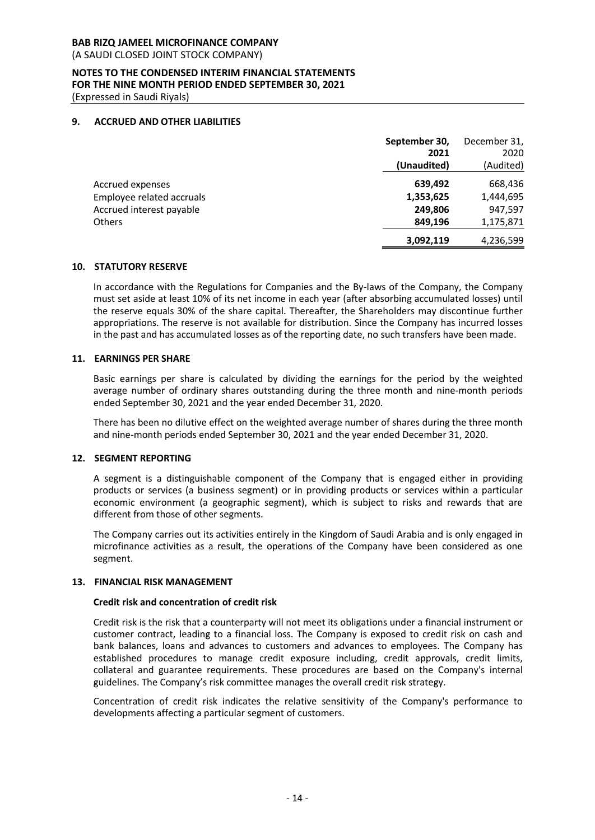(A SAUDI CLOSED JOINT STOCK COMPANY)

# **NOTES TO THE CONDENSED INTERIM FINANCIAL STATEMENTS FOR THE NINE MONTH PERIOD ENDED SEPTEMBER 30, 2021**

(Expressed in Saudi Riyals)

# **9. ACCRUED AND OTHER LIABILITIES**

|                           | September 30, | December 31, |
|---------------------------|---------------|--------------|
|                           | 2021          | 2020         |
|                           | (Unaudited)   | (Audited)    |
| <b>Accrued expenses</b>   | 639,492       | 668,436      |
| Employee related accruals | 1,353,625     | 1,444,695    |
| Accrued interest payable  | 249.806       | 947,597      |
| <b>Others</b>             | 849,196       | 1,175,871    |
|                           | 3,092,119     | 4,236,599    |

#### **10. STATUTORY RESERVE**

In accordance with the Regulations for Companies and the By-laws of the Company, the Company must set aside at least 10% of its net income in each year (after absorbing accumulated losses) until the reserve equals 30% of the share capital. Thereafter, the Shareholders may discontinue further appropriations. The reserve is not available for distribution. Since the Company has incurred losses in the past and has accumulated losses as of the reporting date, no such transfers have been made.

# **11. EARNINGS PER SHARE**

Basic earnings per share is calculated by dividing the earnings for the period by the weighted average number of ordinary shares outstanding during the three month and nine-month periods ended September 30, 2021 and the year ended December 31, 2020.

There has been no dilutive effect on the weighted average number of shares during the three month and nine-month periods ended September 30, 2021 and the year ended December 31, 2020.

#### **12. SEGMENT REPORTING**

A segment is a distinguishable component of the Company that is engaged either in providing products or services (a business segment) or in providing products or services within a particular economic environment (a geographic segment), which is subject to risks and rewards that are different from those of other segments.

The Company carries out its activities entirely in the Kingdom of Saudi Arabia and is only engaged in microfinance activities as a result, the operations of the Company have been considered as one segment.

#### **13. FINANCIAL RISK MANAGEMENT**

#### **Credit risk and concentration of credit risk**

Credit risk is the risk that a counterparty will not meet its obligations under a financial instrument or customer contract, leading to a financial loss. The Company is exposed to credit risk on cash and bank balances, loans and advances to customers and advances to employees. The Company has established procedures to manage credit exposure including, credit approvals, credit limits, collateral and guarantee requirements. These procedures are based on the Company's internal guidelines. The Company's risk committee manages the overall credit risk strategy.

Concentration of credit risk indicates the relative sensitivity of the Company's performance to developments affecting a particular segment of customers.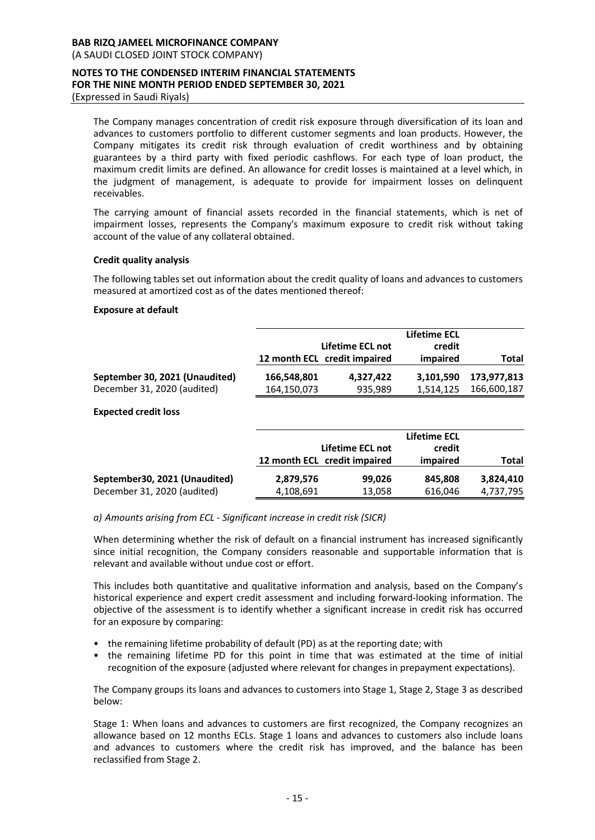(A SAUDI CLOSED JOINT STOCK COMPANY)

#### **NOTES TO THE CONDENSED INTERIM FINANCIAL STATEMENTS FOR THE NINE MONTH PERIOD ENDED SEPTEMBER 30, 2021** (Expressed in Saudi Riyals)

The Company manages concentration of credit risk exposure through diversification of its loan and advances to customers portfolio to different customer segments and loan products. However, the Company mitigates its credit risk through evaluation of credit worthiness and by obtaining guarantees by a third party with fixed periodic cashflows. For each type of loan product, the maximum credit limits are defined. An allowance for credit losses is maintained at a level which, in the judgment of management, is adequate to provide for impairment losses on delinquent receivables.

The carrying amount of financial assets recorded in the financial statements, which is net of impairment losses, represents the Company's maximum exposure to credit risk without taking account of the value of any collateral obtained.

# **Credit quality analysis**

The following tables set out information about the credit quality of loans and advances to customers measured at amortized cost as of the dates mentioned thereof:

# **Exposure at default**

|                                |             | Lifetime ECL not<br>12 month ECL credit impaired | <b>Lifetime ECL</b><br>credit<br>impaired | Total       |
|--------------------------------|-------------|--------------------------------------------------|-------------------------------------------|-------------|
| September 30, 2021 (Unaudited) | 166.548.801 | 4.327.422                                        | 3.101.590                                 | 173.977.813 |
| December 31, 2020 (audited)    | 164,150,073 | 935,989                                          | 1.514.125                                 | 166,600,187 |

# **Expected credit loss**

|                               |           | Lifetime ECL not<br>12 month ECL credit impaired | <b>Lifetime ECL</b><br>credit<br>impaired | Total     |
|-------------------------------|-----------|--------------------------------------------------|-------------------------------------------|-----------|
| September30, 2021 (Unaudited) | 2,879,576 | 99,026                                           | 845.808                                   | 3,824,410 |
| December 31, 2020 (audited)   | 4,108,691 | 13,058                                           | 616,046                                   | 4,737,795 |

*a) Amounts arising from ECL - Significant increase in credit risk (SICR)*

When determining whether the risk of default on a financial instrument has increased significantly since initial recognition, the Company considers reasonable and supportable information that is relevant and available without undue cost or effort.

This includes both quantitative and qualitative information and analysis, based on the Company's historical experience and expert credit assessment and including forward-looking information. The objective of the assessment is to identify whether a significant increase in credit risk has occurred for an exposure by comparing:

- the remaining lifetime probability of default (PD) as at the reporting date; with
- the remaining lifetime PD for this point in time that was estimated at the time of initial recognition of the exposure (adjusted where relevant for changes in prepayment expectations).

The Company groups its loans and advances to customers into Stage 1, Stage 2, Stage 3 as described below:

Stage 1: When loans and advances to customers are first recognized, the Company recognizes an allowance based on 12 months ECLs. Stage 1 loans and advances to customers also include loans and advances to customers where the credit risk has improved, and the balance has been reclassified from Stage 2.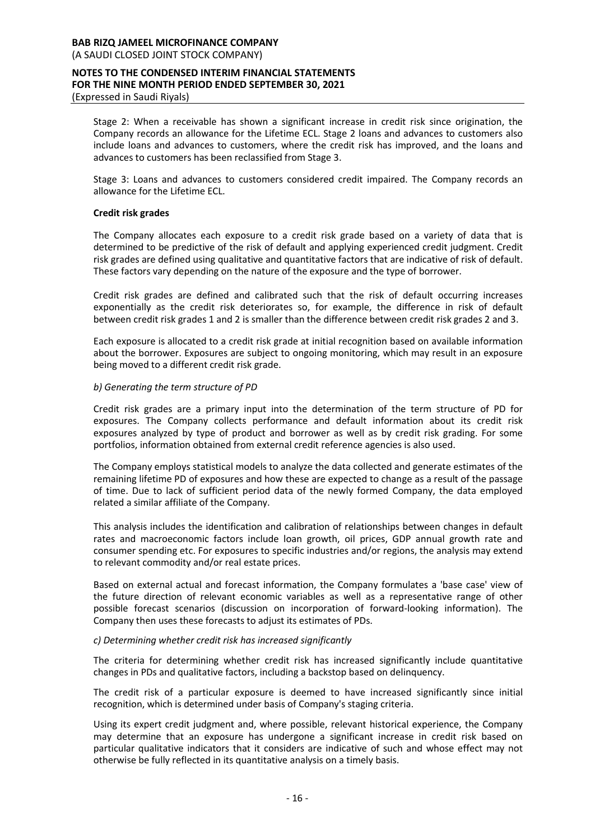Stage 2: When a receivable has shown a significant increase in credit risk since origination, the Company records an allowance for the Lifetime ECL. Stage 2 loans and advances to customers also include loans and advances to customers, where the credit risk has improved, and the loans and advances to customers has been reclassified from Stage 3.

Stage 3: Loans and advances to customers considered credit impaired. The Company records an allowance for the Lifetime ECL.

## **Credit risk grades**

The Company allocates each exposure to a credit risk grade based on a variety of data that is determined to be predictive of the risk of default and applying experienced credit judgment. Credit risk grades are defined using qualitative and quantitative factors that are indicative of risk of default. These factors vary depending on the nature of the exposure and the type of borrower.

Credit risk grades are defined and calibrated such that the risk of default occurring increases exponentially as the credit risk deteriorates so, for example, the difference in risk of default between credit risk grades 1 and 2 is smaller than the difference between credit risk grades 2 and 3.

Each exposure is allocated to a credit risk grade at initial recognition based on available information about the borrower. Exposures are subject to ongoing monitoring, which may result in an exposure being moved to a different credit risk grade.

# *b) Generating the term structure of PD*

Credit risk grades are a primary input into the determination of the term structure of PD for exposures. The Company collects performance and default information about its credit risk exposures analyzed by type of product and borrower as well as by credit risk grading. For some portfolios, information obtained from external credit reference agencies is also used.

The Company employs statistical models to analyze the data collected and generate estimates of the remaining lifetime PD of exposures and how these are expected to change as a result of the passage of time. Due to lack of sufficient period data of the newly formed Company, the data employed related a similar affiliate of the Company.

This analysis includes the identification and calibration of relationships between changes in default rates and macroeconomic factors include loan growth, oil prices, GDP annual growth rate and consumer spending etc. For exposures to specific industries and/or regions, the analysis may extend to relevant commodity and/or real estate prices.

Based on external actual and forecast information, the Company formulates a 'base case' view of the future direction of relevant economic variables as well as a representative range of other possible forecast scenarios (discussion on incorporation of forward-looking information). The Company then uses these forecasts to adjust its estimates of PDs.

# *c) Determining whether credit risk has increased significantly*

The criteria for determining whether credit risk has increased significantly include quantitative changes in PDs and qualitative factors, including a backstop based on delinquency.

The credit risk of a particular exposure is deemed to have increased significantly since initial recognition, which is determined under basis of Company's staging criteria.

Using its expert credit judgment and, where possible, relevant historical experience, the Company may determine that an exposure has undergone a significant increase in credit risk based on particular qualitative indicators that it considers are indicative of such and whose effect may not otherwise be fully reflected in its quantitative analysis on a timely basis.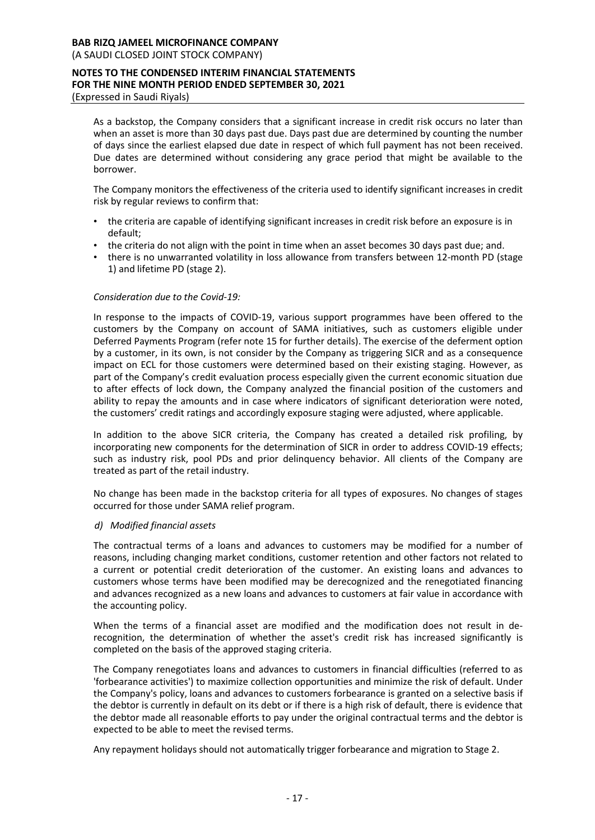(A SAUDI CLOSED JOINT STOCK COMPANY)

#### **NOTES TO THE CONDENSED INTERIM FINANCIAL STATEMENTS FOR THE NINE MONTH PERIOD ENDED SEPTEMBER 30, 2021** (Expressed in Saudi Riyals)

As a backstop, the Company considers that a significant increase in credit risk occurs no later than when an asset is more than 30 days past due. Days past due are determined by counting the number of days since the earliest elapsed due date in respect of which full payment has not been received. Due dates are determined without considering any grace period that might be available to the borrower.

The Company monitors the effectiveness of the criteria used to identify significant increases in credit risk by regular reviews to confirm that:

- the criteria are capable of identifying significant increases in credit risk before an exposure is in default;
- the criteria do not align with the point in time when an asset becomes 30 days past due; and.
- there is no unwarranted volatility in loss allowance from transfers between 12-month PD (stage 1) and lifetime PD (stage 2).

# *Consideration due to the Covid-19:*

In response to the impacts of COVID-19, various support programmes have been offered to the customers by the Company on account of SAMA initiatives, such as customers eligible under Deferred Payments Program (refer note 15 for further details). The exercise of the deferment option by a customer, in its own, is not consider by the Company as triggering SICR and as a consequence impact on ECL for those customers were determined based on their existing staging. However, as part of the Company's credit evaluation process especially given the current economic situation due to after effects of lock down, the Company analyzed the financial position of the customers and ability to repay the amounts and in case where indicators of significant deterioration were noted, the customers' credit ratings and accordingly exposure staging were adjusted, where applicable.

In addition to the above SICR criteria, the Company has created a detailed risk profiling, by incorporating new components for the determination of SICR in order to address COVID-19 effects; such as industry risk, pool PDs and prior delinquency behavior. All clients of the Company are treated as part of the retail industry.

No change has been made in the backstop criteria for all types of exposures. No changes of stages occurred for those under SAMA relief program.

#### *d) Modified financial assets*

The contractual terms of a loans and advances to customers may be modified for a number of reasons, including changing market conditions, customer retention and other factors not related to a current or potential credit deterioration of the customer. An existing loans and advances to customers whose terms have been modified may be derecognized and the renegotiated financing and advances recognized as a new loans and advances to customers at fair value in accordance with the accounting policy.

When the terms of a financial asset are modified and the modification does not result in derecognition, the determination of whether the asset's credit risk has increased significantly is completed on the basis of the approved staging criteria.

The Company renegotiates loans and advances to customers in financial difficulties (referred to as 'forbearance activities') to maximize collection opportunities and minimize the risk of default. Under the Company's policy, loans and advances to customers forbearance is granted on a selective basis if the debtor is currently in default on its debt or if there is a high risk of default, there is evidence that the debtor made all reasonable efforts to pay under the original contractual terms and the debtor is expected to be able to meet the revised terms.

Any repayment holidays should not automatically trigger forbearance and migration to Stage 2.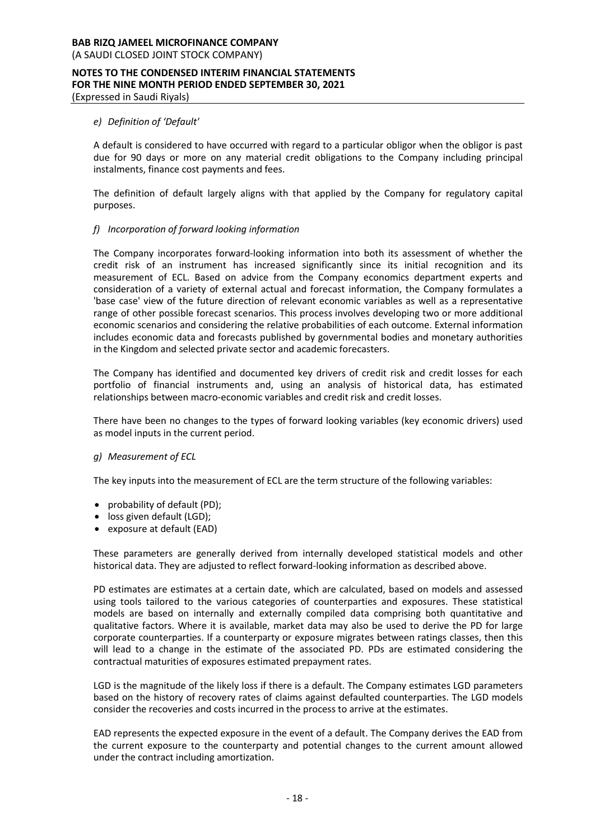# *e) Definition of 'Default'*

A default is considered to have occurred with regard to a particular obligor when the obligor is past due for 90 days or more on any material credit obligations to the Company including principal instalments, finance cost payments and fees.

The definition of default largely aligns with that applied by the Company for regulatory capital purposes.

# *f) Incorporation of forward looking information*

The Company incorporates forward-looking information into both its assessment of whether the credit risk of an instrument has increased significantly since its initial recognition and its measurement of ECL. Based on advice from the Company economics department experts and consideration of a variety of external actual and forecast information, the Company formulates a 'base case' view of the future direction of relevant economic variables as well as a representative range of other possible forecast scenarios. This process involves developing two or more additional economic scenarios and considering the relative probabilities of each outcome. External information includes economic data and forecasts published by governmental bodies and monetary authorities in the Kingdom and selected private sector and academic forecasters.

The Company has identified and documented key drivers of credit risk and credit losses for each portfolio of financial instruments and, using an analysis of historical data, has estimated relationships between macro-economic variables and credit risk and credit losses.

There have been no changes to the types of forward looking variables (key economic drivers) used as model inputs in the current period.

#### *g) Measurement of ECL*

The key inputs into the measurement of ECL are the term structure of the following variables:

- probability of default (PD);
- loss given default (LGD);
- exposure at default (EAD)

These parameters are generally derived from internally developed statistical models and other historical data. They are adjusted to reflect forward-looking information as described above.

PD estimates are estimates at a certain date, which are calculated, based on models and assessed using tools tailored to the various categories of counterparties and exposures. These statistical models are based on internally and externally compiled data comprising both quantitative and qualitative factors. Where it is available, market data may also be used to derive the PD for large corporate counterparties. If a counterparty or exposure migrates between ratings classes, then this will lead to a change in the estimate of the associated PD. PDs are estimated considering the contractual maturities of exposures estimated prepayment rates.

LGD is the magnitude of the likely loss if there is a default. The Company estimates LGD parameters based on the history of recovery rates of claims against defaulted counterparties. The LGD models consider the recoveries and costs incurred in the process to arrive at the estimates.

EAD represents the expected exposure in the event of a default. The Company derives the EAD from the current exposure to the counterparty and potential changes to the current amount allowed under the contract including amortization.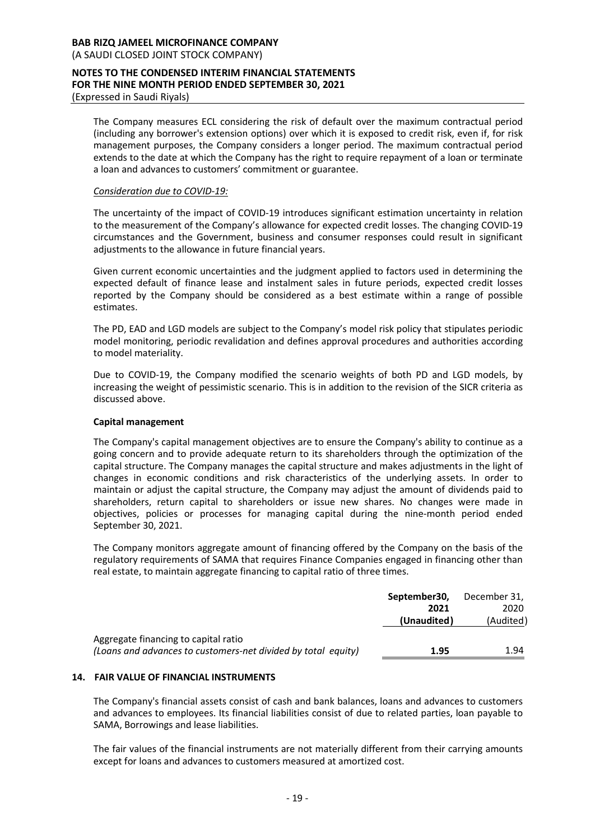#### **BAB RIZQ JAMEEL MICROFINANCE COMPANY** (A SAUDI CLOSED JOINT STOCK COMPANY)

#### **NOTES TO THE CONDENSED INTERIM FINANCIAL STATEMENTS FOR THE NINE MONTH PERIOD ENDED SEPTEMBER 30, 2021** (Expressed in Saudi Riyals)

The Company measures ECL considering the risk of default over the maximum contractual period (including any borrower's extension options) over which it is exposed to credit risk, even if, for risk management purposes, the Company considers a longer period. The maximum contractual period extends to the date at which the Company has the right to require repayment of a loan or terminate a loan and advances to customers' commitment or guarantee.

#### *Consideration due to COVID-19:*

The uncertainty of the impact of COVID-19 introduces significant estimation uncertainty in relation to the measurement of the Company's allowance for expected credit losses. The changing COVID-19 circumstances and the Government, business and consumer responses could result in significant adjustments to the allowance in future financial years.

Given current economic uncertainties and the judgment applied to factors used in determining the expected default of finance lease and instalment sales in future periods, expected credit losses reported by the Company should be considered as a best estimate within a range of possible estimates.

The PD, EAD and LGD models are subject to the Company's model risk policy that stipulates periodic model monitoring, periodic revalidation and defines approval procedures and authorities according to model materiality.

Due to COVID-19, the Company modified the scenario weights of both PD and LGD models, by increasing the weight of pessimistic scenario. This is in addition to the revision of the SICR criteria as discussed above.

#### **Capital management**

The Company's capital management objectives are to ensure the Company's ability to continue as a going concern and to provide adequate return to its shareholders through the optimization of the capital structure. The Company manages the capital structure and makes adjustments in the light of changes in economic conditions and risk characteristics of the underlying assets. In order to maintain or adjust the capital structure, the Company may adjust the amount of dividends paid to shareholders, return capital to shareholders or issue new shares. No changes were made in objectives, policies or processes for managing capital during the nine-month period ended September 30, 2021.

The Company monitors aggregate amount of financing offered by the Company on the basis of the regulatory requirements of SAMA that requires Finance Companies engaged in financing other than real estate, to maintain aggregate financing to capital ratio of three times.

| September30, | December 31, |
|--------------|--------------|
| 2021         | 2020         |
| (Unaudited)  | (Audited)    |
|              |              |
| 1.95         | 1.94         |
|              |              |

# **14. FAIR VALUE OF FINANCIAL INSTRUMENTS**

The Company's financial assets consist of cash and bank balances, loans and advances to customers and advances to employees. Its financial liabilities consist of due to related parties, loan payable to SAMA, Borrowings and lease liabilities.

The fair values of the financial instruments are not materially different from their carrying amounts except for loans and advances to customers measured at amortized cost.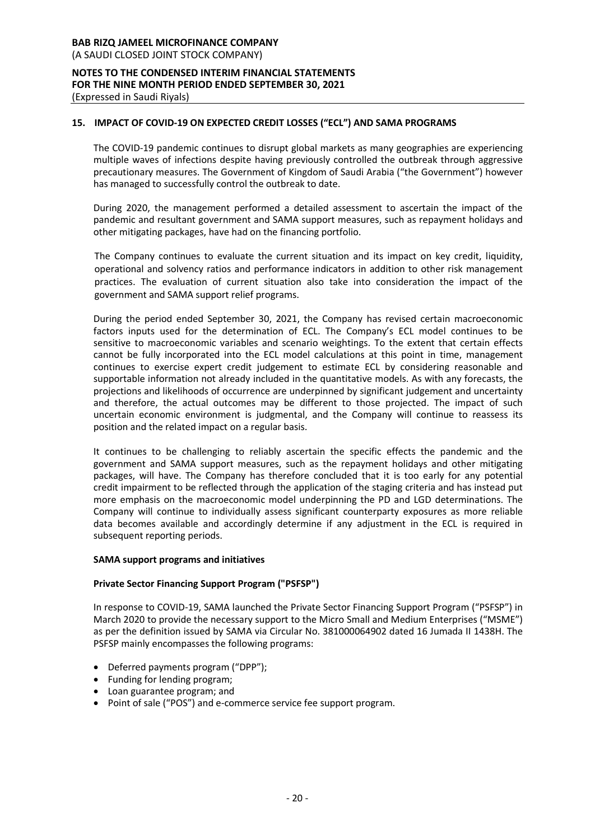# **15. IMPACT OF COVID-19 ON EXPECTED CREDIT LOSSES ("ECL") AND SAMA PROGRAMS**

The COVID-19 pandemic continues to disrupt global markets as many geographies are experiencing multiple waves of infections despite having previously controlled the outbreak through aggressive precautionary measures. The Government of Kingdom of Saudi Arabia ("the Government") however has managed to successfully control the outbreak to date.

During 2020, the management performed a detailed assessment to ascertain the impact of the pandemic and resultant government and SAMA support measures, such as repayment holidays and other mitigating packages, have had on the financing portfolio.

The Company continues to evaluate the current situation and its impact on key credit, liquidity, operational and solvency ratios and performance indicators in addition to other risk management practices. The evaluation of current situation also take into consideration the impact of the government and SAMA support relief programs.

During the period ended September 30, 2021, the Company has revised certain macroeconomic factors inputs used for the determination of ECL. The Company's ECL model continues to be sensitive to macroeconomic variables and scenario weightings. To the extent that certain effects cannot be fully incorporated into the ECL model calculations at this point in time, management continues to exercise expert credit judgement to estimate ECL by considering reasonable and supportable information not already included in the quantitative models. As with any forecasts, the projections and likelihoods of occurrence are underpinned by significant judgement and uncertainty and therefore, the actual outcomes may be different to those projected. The impact of such uncertain economic environment is judgmental, and the Company will continue to reassess its position and the related impact on a regular basis.

It continues to be challenging to reliably ascertain the specific effects the pandemic and the government and SAMA support measures, such as the repayment holidays and other mitigating packages, will have. The Company has therefore concluded that it is too early for any potential credit impairment to be reflected through the application of the staging criteria and has instead put more emphasis on the macroeconomic model underpinning the PD and LGD determinations. The Company will continue to individually assess significant counterparty exposures as more reliable data becomes available and accordingly determine if any adjustment in the ECL is required in subsequent reporting periods.

#### **SAMA support programs and initiatives**

# **Private Sector Financing Support Program ("PSFSP")**

In response to COVID-19, SAMA launched the Private Sector Financing Support Program ("PSFSP") in March 2020 to provide the necessary support to the Micro Small and Medium Enterprises ("MSME") as per the definition issued by SAMA via Circular No. 381000064902 dated 16 Jumada II 1438H. The PSFSP mainly encompasses the following programs:

- Deferred payments program ("DPP");
- Funding for lending program;
- Loan guarantee program; and
- Point of sale ("POS") and e-commerce service fee support program.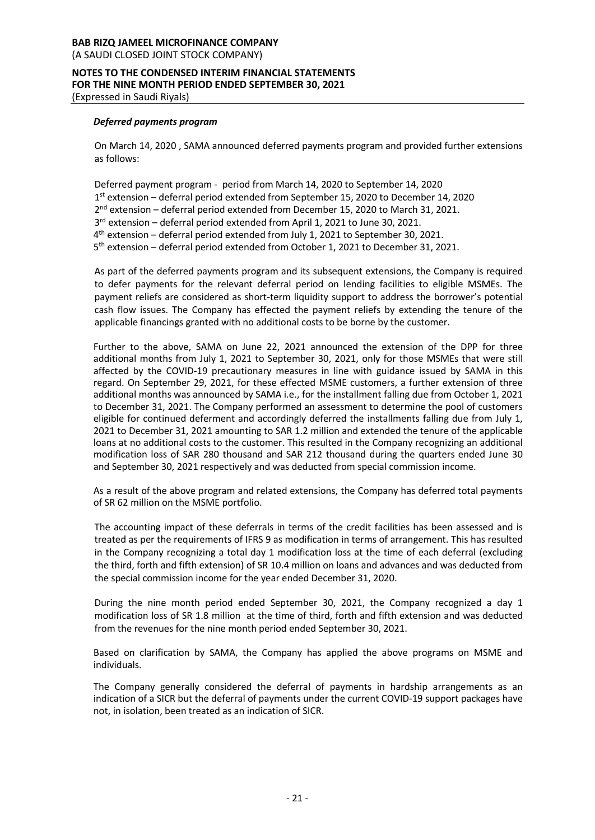# **BAB RIZQ JAMEEL MICROFINANCE COMPANY** (A SAUDI CLOSED JOINT STOCK COMPANY)

#### **NOTES TO THE CONDENSED INTERIM FINANCIAL STATEMENTS FOR THE NINE MONTH PERIOD ENDED SEPTEMBER 30, 2021** (Expressed in Saudi Riyals)

#### *Deferred payments program*

On March 14, 2020 , SAMA announced deferred payments program and provided further extensions as follows:

Deferred payment program - period from March 14, 2020 to September 14, 2020 st extension – deferral period extended from September 15, 2020 to December 14, 2020 2<sup>nd</sup> extension – deferral period extended from December 15, 2020 to March 31, 2021. rd extension – deferral period extended from April 1, 2021 to June 30, 2021. th extension – deferral period extended from July 1, 2021 to September 30, 2021. th extension – deferral period extended from October 1, 2021 to December 31, 2021.

As part of the deferred payments program and its subsequent extensions, the Company is required to defer payments for the relevant deferral period on lending facilities to eligible MSMEs. The payment reliefs are considered as short-term liquidity support to address the borrower's potential cash flow issues. The Company has effected the payment reliefs by extending the tenure of the applicable financings granted with no additional costs to be borne by the customer.

Further to the above, SAMA on June 22, 2021 announced the extension of the DPP for three additional months from July 1, 2021 to September 30, 2021, only for those MSMEs that were still affected by the COVID-19 precautionary measures in line with guidance issued by SAMA in this regard. On September 29, 2021, for these effected MSME customers, a further extension of three additional months was announced by SAMA i.e., for the installment falling due from October 1, 2021 to December 31, 2021. The Company performed an assessment to determine the pool of customers eligible for continued deferment and accordingly deferred the installments falling due from July 1, 2021 to December 31, 2021 amounting to SAR 1.2 million and extended the tenure of the applicable loans at no additional costs to the customer. This resulted in the Company recognizing an additional modification loss of SAR 280 thousand and SAR 212 thousand during the quarters ended June 30 and September 30, 2021 respectively and was deducted from special commission income.

As a result of the above program and related extensions, the Company has deferred total payments of SR 62 million on the MSME portfolio.

The accounting impact of these deferrals in terms of the credit facilities has been assessed and is treated as per the requirements of IFRS 9 as modification in terms of arrangement. This has resulted in the Company recognizing a total day 1 modification loss at the time of each deferral (excluding the third, forth and fifth extension) of SR 10.4 million on loans and advances and was deducted from the special commission income for the year ended December 31, 2020.

During the nine month period ended September 30, 2021, the Company recognized a day 1 modification loss of SR 1.8 million at the time of third, forth and fifth extension and was deducted from the revenues for the nine month period ended September 30, 2021.

Based on clarification by SAMA, the Company has applied the above programs on MSME and individuals.

The Company generally considered the deferral of payments in hardship arrangements as an indication of a SICR but the deferral of payments under the current COVID-19 support packages have not, in isolation, been treated as an indication of SICR.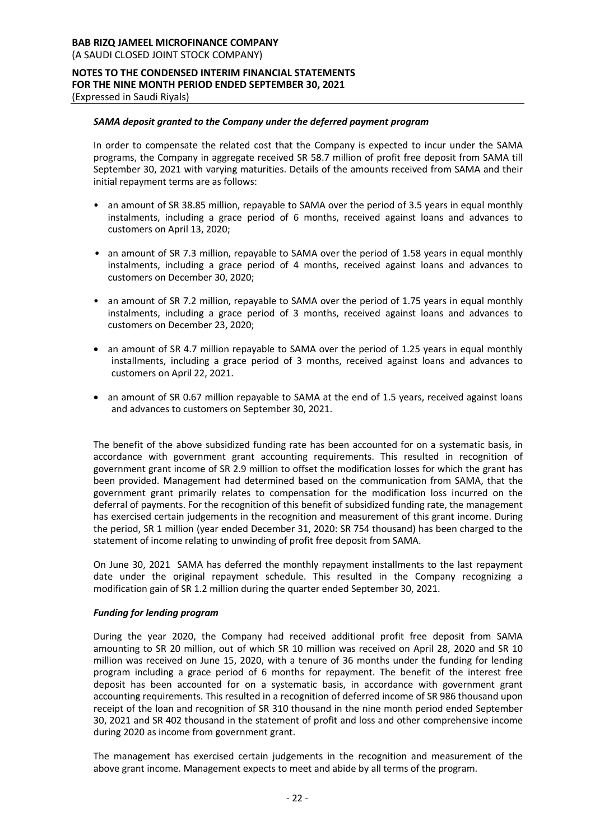# *SAMA deposit granted to the Company under the deferred payment program*

In order to compensate the related cost that the Company is expected to incur under the SAMA programs, the Company in aggregate received SR 58.7 million of profit free deposit from SAMA till September 30, 2021 with varying maturities. Details of the amounts received from SAMA and their initial repayment terms are as follows:

- an amount of SR 38.85 million, repayable to SAMA over the period of 3.5 years in equal monthly instalments, including a grace period of 6 months, received against loans and advances to customers on April 13, 2020;
- an amount of SR 7.3 million, repayable to SAMA over the period of 1.58 years in equal monthly instalments, including a grace period of 4 months, received against loans and advances to customers on December 30, 2020;
- an amount of SR 7.2 million, repayable to SAMA over the period of 1.75 years in equal monthly instalments, including a grace period of 3 months, received against loans and advances to customers on December 23, 2020;
- an amount of SR 4.7 million repayable to SAMA over the period of 1.25 years in equal monthly installments, including a grace period of 3 months, received against loans and advances to customers on April 22, 2021.
- an amount of SR 0.67 million repayable to SAMA at the end of 1.5 years, received against loans and advances to customers on September 30, 2021.

The benefit of the above subsidized funding rate has been accounted for on a systematic basis, in accordance with government grant accounting requirements. This resulted in recognition of government grant income of SR 2.9 million to offset the modification losses for which the grant has been provided. Management had determined based on the communication from SAMA, that the government grant primarily relates to compensation for the modification loss incurred on the deferral of payments. For the recognition of this benefit of subsidized funding rate, the management has exercised certain judgements in the recognition and measurement of this grant income. During the period, SR 1 million (year ended December 31, 2020: SR 754 thousand) has been charged to the statement of income relating to unwinding of profit free deposit from SAMA.

On June 30, 2021 SAMA has deferred the monthly repayment installments to the last repayment date under the original repayment schedule. This resulted in the Company recognizing a modification gain of SR 1.2 million during the quarter ended September 30, 2021.

#### *Funding for lending program*

During the year 2020, the Company had received additional profit free deposit from SAMA amounting to SR 20 million, out of which SR 10 million was received on April 28, 2020 and SR 10 million was received on June 15, 2020, with a tenure of 36 months under the funding for lending program including a grace period of 6 months for repayment. The benefit of the interest free deposit has been accounted for on a systematic basis, in accordance with government grant accounting requirements. This resulted in a recognition of deferred income of SR 986 thousand upon receipt of the loan and recognition of SR 310 thousand in the nine month period ended September 30, 2021 and SR 402 thousand in the statement of profit and loss and other comprehensive income during 2020 as income from government grant.

The management has exercised certain judgements in the recognition and measurement of the above grant income. Management expects to meet and abide by all terms of the program.